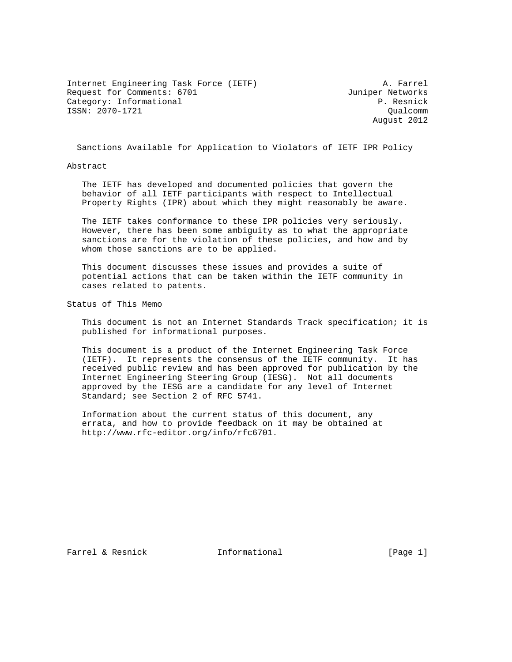Internet Engineering Task Force (IETF) A. Farrel Request for Comments: 6701 Juniper Networks Category: Informational example of the property of the P. Resnick ISSN: 2070-1721 Qualcomm

August 2012

Sanctions Available for Application to Violators of IETF IPR Policy

#### Abstract

 The IETF has developed and documented policies that govern the behavior of all IETF participants with respect to Intellectual Property Rights (IPR) about which they might reasonably be aware.

 The IETF takes conformance to these IPR policies very seriously. However, there has been some ambiguity as to what the appropriate sanctions are for the violation of these policies, and how and by whom those sanctions are to be applied.

 This document discusses these issues and provides a suite of potential actions that can be taken within the IETF community in cases related to patents.

Status of This Memo

 This document is not an Internet Standards Track specification; it is published for informational purposes.

 This document is a product of the Internet Engineering Task Force (IETF). It represents the consensus of the IETF community. It has received public review and has been approved for publication by the Internet Engineering Steering Group (IESG). Not all documents approved by the IESG are a candidate for any level of Internet Standard; see Section 2 of RFC 5741.

 Information about the current status of this document, any errata, and how to provide feedback on it may be obtained at http://www.rfc-editor.org/info/rfc6701.

Farrel & Resnick Thermational [Page 1]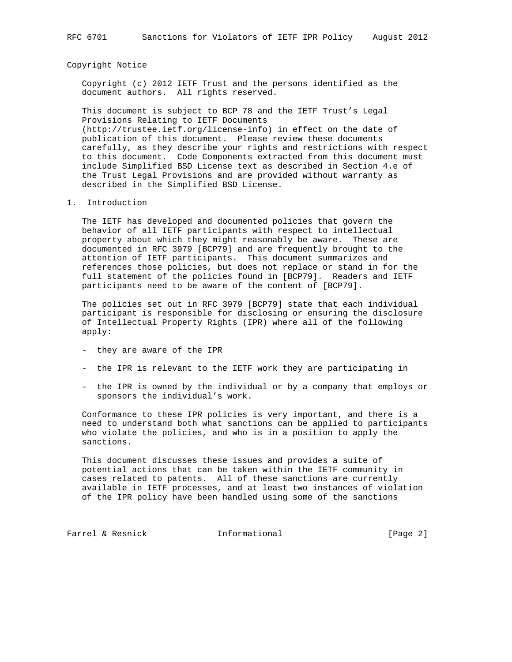#### Copyright Notice

 Copyright (c) 2012 IETF Trust and the persons identified as the document authors. All rights reserved.

 This document is subject to BCP 78 and the IETF Trust's Legal Provisions Relating to IETF Documents (http://trustee.ietf.org/license-info) in effect on the date of publication of this document. Please review these documents carefully, as they describe your rights and restrictions with respect to this document. Code Components extracted from this document must include Simplified BSD License text as described in Section 4.e of the Trust Legal Provisions and are provided without warranty as described in the Simplified BSD License.

1. Introduction

 The IETF has developed and documented policies that govern the behavior of all IETF participants with respect to intellectual property about which they might reasonably be aware. These are documented in RFC 3979 [BCP79] and are frequently brought to the attention of IETF participants. This document summarizes and references those policies, but does not replace or stand in for the full statement of the policies found in [BCP79]. Readers and IETF participants need to be aware of the content of [BCP79].

 The policies set out in RFC 3979 [BCP79] state that each individual participant is responsible for disclosing or ensuring the disclosure of Intellectual Property Rights (IPR) where all of the following apply:

- they are aware of the IPR
- the IPR is relevant to the IETF work they are participating in
- the IPR is owned by the individual or by a company that employs or sponsors the individual's work.

 Conformance to these IPR policies is very important, and there is a need to understand both what sanctions can be applied to participants who violate the policies, and who is in a position to apply the sanctions.

 This document discusses these issues and provides a suite of potential actions that can be taken within the IETF community in cases related to patents. All of these sanctions are currently available in IETF processes, and at least two instances of violation of the IPR policy have been handled using some of the sanctions

Farrel & Resnick Theormational Theorman [Page 2]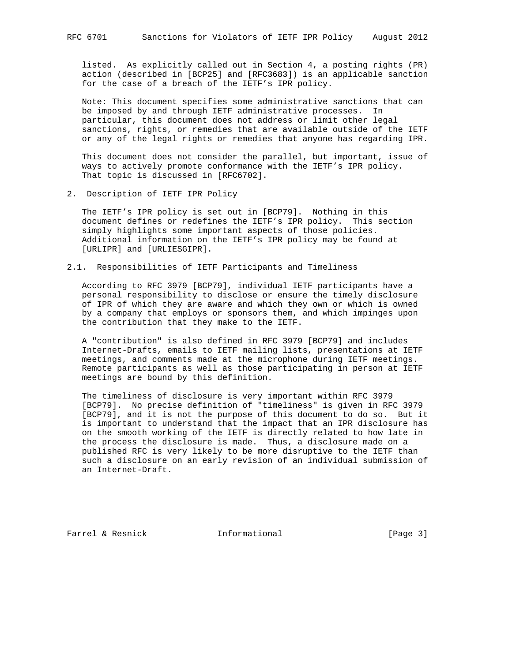listed. As explicitly called out in Section 4, a posting rights (PR) action (described in [BCP25] and [RFC3683]) is an applicable sanction for the case of a breach of the IETF's IPR policy.

 Note: This document specifies some administrative sanctions that can be imposed by and through IETF administrative processes. In particular, this document does not address or limit other legal sanctions, rights, or remedies that are available outside of the IETF or any of the legal rights or remedies that anyone has regarding IPR.

 This document does not consider the parallel, but important, issue of ways to actively promote conformance with the IETF's IPR policy. That topic is discussed in [RFC6702].

2. Description of IETF IPR Policy

 The IETF's IPR policy is set out in [BCP79]. Nothing in this document defines or redefines the IETF's IPR policy. This section simply highlights some important aspects of those policies. Additional information on the IETF's IPR policy may be found at [URLIPR] and [URLIESGIPR].

2.1. Responsibilities of IETF Participants and Timeliness

 According to RFC 3979 [BCP79], individual IETF participants have a personal responsibility to disclose or ensure the timely disclosure of IPR of which they are aware and which they own or which is owned by a company that employs or sponsors them, and which impinges upon the contribution that they make to the IETF.

 A "contribution" is also defined in RFC 3979 [BCP79] and includes Internet-Drafts, emails to IETF mailing lists, presentations at IETF meetings, and comments made at the microphone during IETF meetings. Remote participants as well as those participating in person at IETF meetings are bound by this definition.

 The timeliness of disclosure is very important within RFC 3979 [BCP79]. No precise definition of "timeliness" is given in RFC 3979 [BCP79], and it is not the purpose of this document to do so. But it is important to understand that the impact that an IPR disclosure has on the smooth working of the IETF is directly related to how late in the process the disclosure is made. Thus, a disclosure made on a published RFC is very likely to be more disruptive to the IETF than such a disclosure on an early revision of an individual submission of an Internet-Draft.

Farrel & Resnick and Informational [Page 3]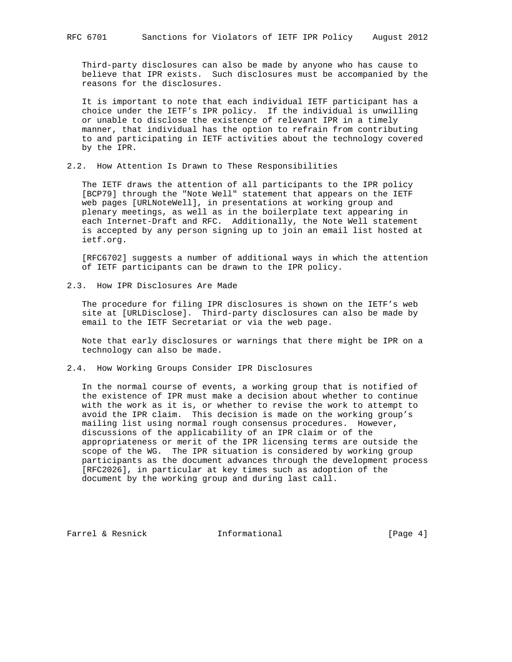Third-party disclosures can also be made by anyone who has cause to believe that IPR exists. Such disclosures must be accompanied by the reasons for the disclosures.

 It is important to note that each individual IETF participant has a choice under the IETF's IPR policy. If the individual is unwilling or unable to disclose the existence of relevant IPR in a timely manner, that individual has the option to refrain from contributing to and participating in IETF activities about the technology covered by the IPR.

2.2. How Attention Is Drawn to These Responsibilities

 The IETF draws the attention of all participants to the IPR policy [BCP79] through the "Note Well" statement that appears on the IETF web pages [URLNoteWell], in presentations at working group and plenary meetings, as well as in the boilerplate text appearing in each Internet-Draft and RFC. Additionally, the Note Well statement is accepted by any person signing up to join an email list hosted at ietf.org.

 [RFC6702] suggests a number of additional ways in which the attention of IETF participants can be drawn to the IPR policy.

2.3. How IPR Disclosures Are Made

 The procedure for filing IPR disclosures is shown on the IETF's web site at [URLDisclose]. Third-party disclosures can also be made by email to the IETF Secretariat or via the web page.

 Note that early disclosures or warnings that there might be IPR on a technology can also be made.

### 2.4. How Working Groups Consider IPR Disclosures

 In the normal course of events, a working group that is notified of the existence of IPR must make a decision about whether to continue with the work as it is, or whether to revise the work to attempt to avoid the IPR claim. This decision is made on the working group's mailing list using normal rough consensus procedures. However, discussions of the applicability of an IPR claim or of the appropriateness or merit of the IPR licensing terms are outside the scope of the WG. The IPR situation is considered by working group participants as the document advances through the development process [RFC2026], in particular at key times such as adoption of the document by the working group and during last call.

Farrel & Resnick and Informational [Page 4]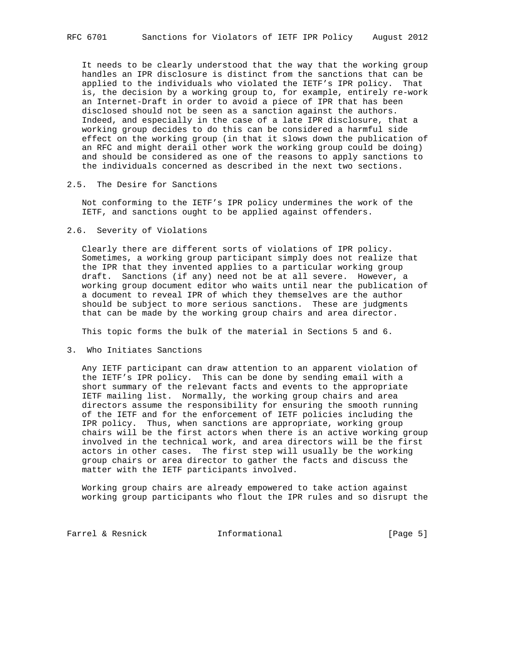It needs to be clearly understood that the way that the working group handles an IPR disclosure is distinct from the sanctions that can be applied to the individuals who violated the IETF's IPR policy. That is, the decision by a working group to, for example, entirely re-work an Internet-Draft in order to avoid a piece of IPR that has been disclosed should not be seen as a sanction against the authors. Indeed, and especially in the case of a late IPR disclosure, that a working group decides to do this can be considered a harmful side effect on the working group (in that it slows down the publication of an RFC and might derail other work the working group could be doing) and should be considered as one of the reasons to apply sanctions to the individuals concerned as described in the next two sections.

## 2.5. The Desire for Sanctions

 Not conforming to the IETF's IPR policy undermines the work of the IETF, and sanctions ought to be applied against offenders.

#### 2.6. Severity of Violations

 Clearly there are different sorts of violations of IPR policy. Sometimes, a working group participant simply does not realize that the IPR that they invented applies to a particular working group draft. Sanctions (if any) need not be at all severe. However, a working group document editor who waits until near the publication of a document to reveal IPR of which they themselves are the author should be subject to more serious sanctions. These are judgments that can be made by the working group chairs and area director.

This topic forms the bulk of the material in Sections 5 and 6.

3. Who Initiates Sanctions

 Any IETF participant can draw attention to an apparent violation of the IETF's IPR policy. This can be done by sending email with a short summary of the relevant facts and events to the appropriate IETF mailing list. Normally, the working group chairs and area directors assume the responsibility for ensuring the smooth running of the IETF and for the enforcement of IETF policies including the IPR policy. Thus, when sanctions are appropriate, working group chairs will be the first actors when there is an active working group involved in the technical work, and area directors will be the first actors in other cases. The first step will usually be the working group chairs or area director to gather the facts and discuss the matter with the IETF participants involved.

 Working group chairs are already empowered to take action against working group participants who flout the IPR rules and so disrupt the

Farrel & Resnick Theormational Farrel & Resnick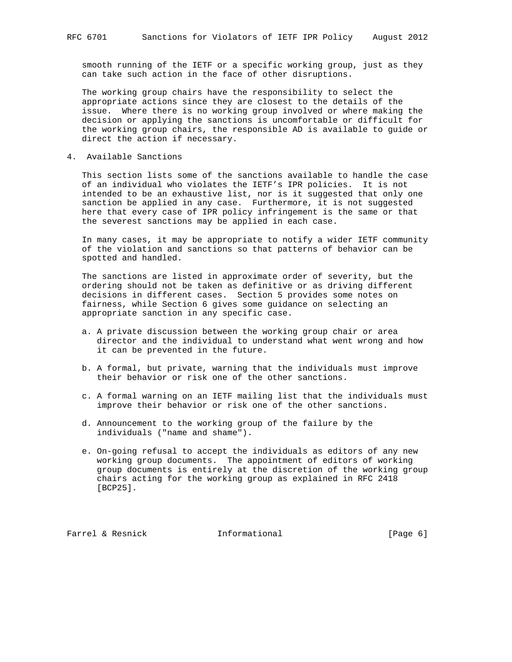smooth running of the IETF or a specific working group, just as they can take such action in the face of other disruptions.

 The working group chairs have the responsibility to select the appropriate actions since they are closest to the details of the issue. Where there is no working group involved or where making the decision or applying the sanctions is uncomfortable or difficult for the working group chairs, the responsible AD is available to guide or direct the action if necessary.

4. Available Sanctions

 This section lists some of the sanctions available to handle the case of an individual who violates the IETF's IPR policies. It is not intended to be an exhaustive list, nor is it suggested that only one sanction be applied in any case. Furthermore, it is not suggested here that every case of IPR policy infringement is the same or that the severest sanctions may be applied in each case.

 In many cases, it may be appropriate to notify a wider IETF community of the violation and sanctions so that patterns of behavior can be spotted and handled.

 The sanctions are listed in approximate order of severity, but the ordering should not be taken as definitive or as driving different decisions in different cases. Section 5 provides some notes on fairness, while Section 6 gives some guidance on selecting an appropriate sanction in any specific case.

- a. A private discussion between the working group chair or area director and the individual to understand what went wrong and how it can be prevented in the future.
- b. A formal, but private, warning that the individuals must improve their behavior or risk one of the other sanctions.
- c. A formal warning on an IETF mailing list that the individuals must improve their behavior or risk one of the other sanctions.
- d. Announcement to the working group of the failure by the individuals ("name and shame").
- e. On-going refusal to accept the individuals as editors of any new working group documents. The appointment of editors of working group documents is entirely at the discretion of the working group chairs acting for the working group as explained in RFC 2418 [BCP25].

Farrel & Resnick **Informational** [Page 6]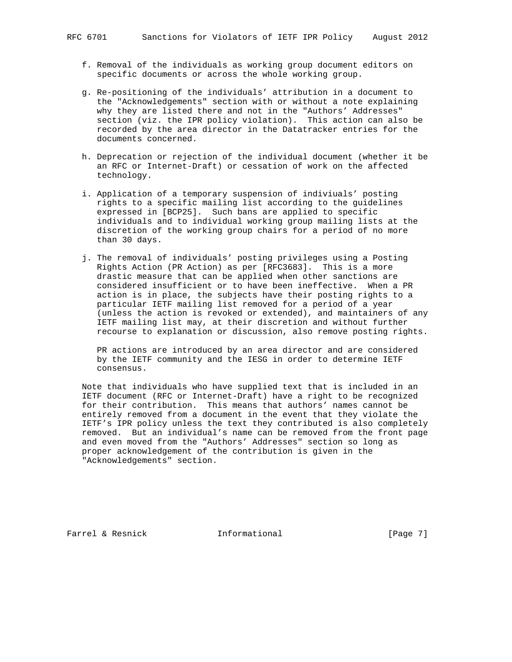- f. Removal of the individuals as working group document editors on specific documents or across the whole working group.
- g. Re-positioning of the individuals' attribution in a document to the "Acknowledgements" section with or without a note explaining why they are listed there and not in the "Authors' Addresses" section (viz. the IPR policy violation). This action can also be recorded by the area director in the Datatracker entries for the documents concerned.
- h. Deprecation or rejection of the individual document (whether it be an RFC or Internet-Draft) or cessation of work on the affected technology.
- i. Application of a temporary suspension of indiviuals' posting rights to a specific mailing list according to the guidelines expressed in [BCP25]. Such bans are applied to specific individuals and to individual working group mailing lists at the discretion of the working group chairs for a period of no more than 30 days.
- j. The removal of individuals' posting privileges using a Posting Rights Action (PR Action) as per [RFC3683]. This is a more drastic measure that can be applied when other sanctions are considered insufficient or to have been ineffective. When a PR action is in place, the subjects have their posting rights to a particular IETF mailing list removed for a period of a year (unless the action is revoked or extended), and maintainers of any IETF mailing list may, at their discretion and without further recourse to explanation or discussion, also remove posting rights.

 PR actions are introduced by an area director and are considered by the IETF community and the IESG in order to determine IETF consensus.

 Note that individuals who have supplied text that is included in an IETF document (RFC or Internet-Draft) have a right to be recognized for their contribution. This means that authors' names cannot be entirely removed from a document in the event that they violate the IETF's IPR policy unless the text they contributed is also completely removed. But an individual's name can be removed from the front page and even moved from the "Authors' Addresses" section so long as proper acknowledgement of the contribution is given in the "Acknowledgements" section.

Farrel & Resnick and Informational [Page 7]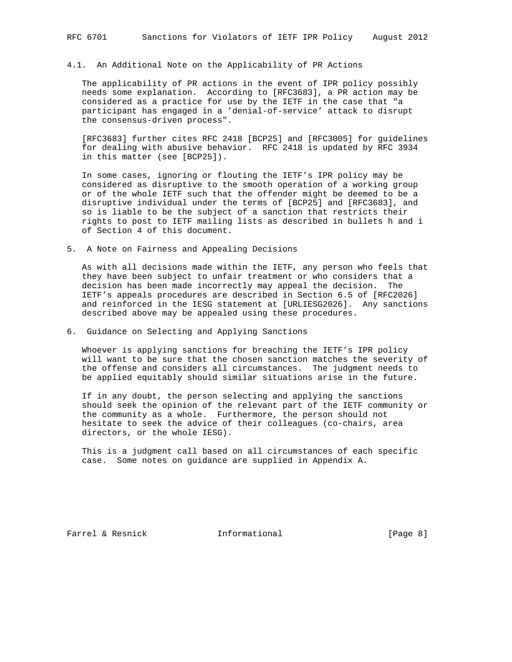#### 4.1. An Additional Note on the Applicability of PR Actions

 The applicability of PR actions in the event of IPR policy possibly needs some explanation. According to [RFC3683], a PR action may be considered as a practice for use by the IETF in the case that "a participant has engaged in a 'denial-of-service' attack to disrupt the consensus-driven process".

 [RFC3683] further cites RFC 2418 [BCP25] and [RFC3005] for guidelines for dealing with abusive behavior. RFC 2418 is updated by RFC 3934 in this matter (see [BCP25]).

 In some cases, ignoring or flouting the IETF's IPR policy may be considered as disruptive to the smooth operation of a working group or of the whole IETF such that the offender might be deemed to be a disruptive individual under the terms of [BCP25] and [RFC3683], and so is liable to be the subject of a sanction that restricts their rights to post to IETF mailing lists as described in bullets h and i of Section 4 of this document.

5. A Note on Fairness and Appealing Decisions

 As with all decisions made within the IETF, any person who feels that they have been subject to unfair treatment or who considers that a decision has been made incorrectly may appeal the decision. The IETF's appeals procedures are described in Section 6.5 of [RFC2026] and reinforced in the IESG statement at [URLIESG2026]. Any sanctions described above may be appealed using these procedures.

6. Guidance on Selecting and Applying Sanctions

 Whoever is applying sanctions for breaching the IETF's IPR policy will want to be sure that the chosen sanction matches the severity of the offense and considers all circumstances. The judgment needs to be applied equitably should similar situations arise in the future.

 If in any doubt, the person selecting and applying the sanctions should seek the opinion of the relevant part of the IETF community or the community as a whole. Furthermore, the person should not hesitate to seek the advice of their colleagues (co-chairs, area directors, or the whole IESG).

 This is a judgment call based on all circumstances of each specific case. Some notes on guidance are supplied in Appendix A.

Farrel & Resnick and Informational [Page 8]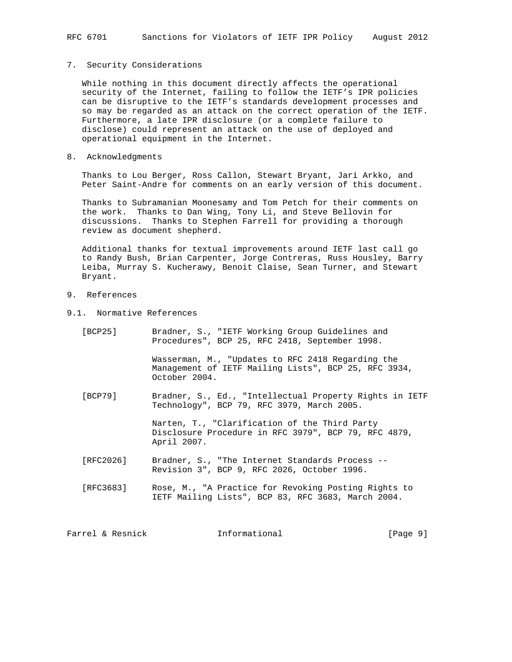## 7. Security Considerations

 While nothing in this document directly affects the operational security of the Internet, failing to follow the IETF's IPR policies can be disruptive to the IETF's standards development processes and so may be regarded as an attack on the correct operation of the IETF. Furthermore, a late IPR disclosure (or a complete failure to disclose) could represent an attack on the use of deployed and operational equipment in the Internet.

#### 8. Acknowledgments

 Thanks to Lou Berger, Ross Callon, Stewart Bryant, Jari Arkko, and Peter Saint-Andre for comments on an early version of this document.

 Thanks to Subramanian Moonesamy and Tom Petch for their comments on the work. Thanks to Dan Wing, Tony Li, and Steve Bellovin for discussions. Thanks to Stephen Farrell for providing a thorough review as document shepherd.

 Additional thanks for textual improvements around IETF last call go to Randy Bush, Brian Carpenter, Jorge Contreras, Russ Housley, Barry Leiba, Murray S. Kucherawy, Benoit Claise, Sean Turner, and Stewart Bryant.

# 9. References

9.1. Normative References

| [BCP25]   | Bradner, S., "IETF Working Group Guidelines and<br>Procedures", BCP 25, RFC 2418, September 1998.                          |
|-----------|----------------------------------------------------------------------------------------------------------------------------|
|           | Wasserman, M., "Updates to RFC 2418 Regarding the<br>Management of IETF Mailing Lists", BCP 25, RFC 3934,<br>October 2004. |
| [BCP79]   | Bradner, S., Ed., "Intellectual Property Rights in IETF<br>Technology", BCP 79, RFC 3979, March 2005.                      |
|           | Narten, T., "Clarification of the Third Party<br>Disclosure Procedure in RFC 3979", BCP 79, RFC 4879,<br>April 2007.       |
| [RFC2026] | Bradner, S., "The Internet Standards Process --<br>Revision 3", BCP 9, RFC 2026, October 1996.                             |
| [RFC3683] | Rose, M., "A Practice for Revoking Posting Rights to<br>IETF Mailing Lists", BCP 83, RFC 3683, March 2004.                 |
|           |                                                                                                                            |

Farrel & Resnick  $I_n$  Informational [Page 9]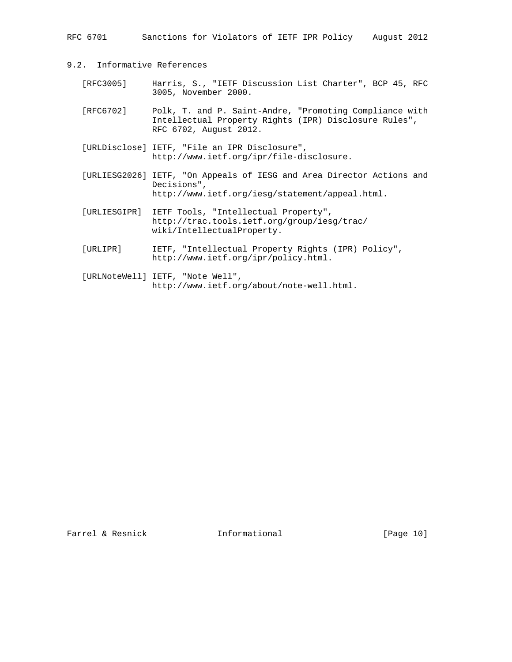RFC 6701 Sanctions for Violators of IETF IPR Policy August 2012

- 9.2. Informative References
	- [RFC3005] Harris, S., "IETF Discussion List Charter", BCP 45, RFC 3005, November 2000.
	- [RFC6702] Polk, T. and P. Saint-Andre, "Promoting Compliance with Intellectual Property Rights (IPR) Disclosure Rules", RFC 6702, August 2012.
	- [URLDisclose] IETF, "File an IPR Disclosure", http://www.ietf.org/ipr/file-disclosure.
	- [URLIESG2026] IETF, "On Appeals of IESG and Area Director Actions and Decisions", http://www.ietf.org/iesg/statement/appeal.html.
	- [URLIESGIPR] IETF Tools, "Intellectual Property", http://trac.tools.ietf.org/group/iesg/trac/ wiki/IntellectualProperty.
	- [URLIPR] IETF, "Intellectual Property Rights (IPR) Policy", http://www.ietf.org/ipr/policy.html.
	- [URLNoteWell] IETF, "Note Well", http://www.ietf.org/about/note-well.html.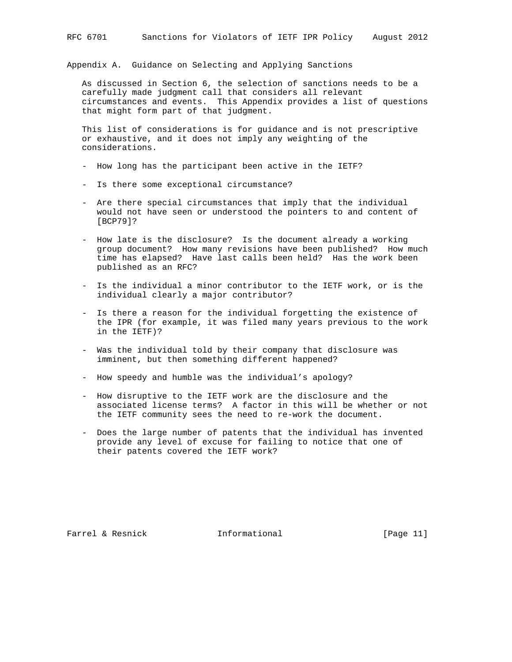Appendix A. Guidance on Selecting and Applying Sanctions

 As discussed in Section 6, the selection of sanctions needs to be a carefully made judgment call that considers all relevant circumstances and events. This Appendix provides a list of questions that might form part of that judgment.

 This list of considerations is for guidance and is not prescriptive or exhaustive, and it does not imply any weighting of the considerations.

- How long has the participant been active in the IETF?
- Is there some exceptional circumstance?
- Are there special circumstances that imply that the individual would not have seen or understood the pointers to and content of [BCP79]?
- How late is the disclosure? Is the document already a working group document? How many revisions have been published? How much time has elapsed? Have last calls been held? Has the work been published as an RFC?
- Is the individual a minor contributor to the IETF work, or is the individual clearly a major contributor?
- Is there a reason for the individual forgetting the existence of the IPR (for example, it was filed many years previous to the work in the IETF)?
- Was the individual told by their company that disclosure was imminent, but then something different happened?
- How speedy and humble was the individual's apology?
- How disruptive to the IETF work are the disclosure and the associated license terms? A factor in this will be whether or not the IETF community sees the need to re-work the document.
- Does the large number of patents that the individual has invented provide any level of excuse for failing to notice that one of their patents covered the IETF work?

Farrel & Resnick Informational [Page 11]